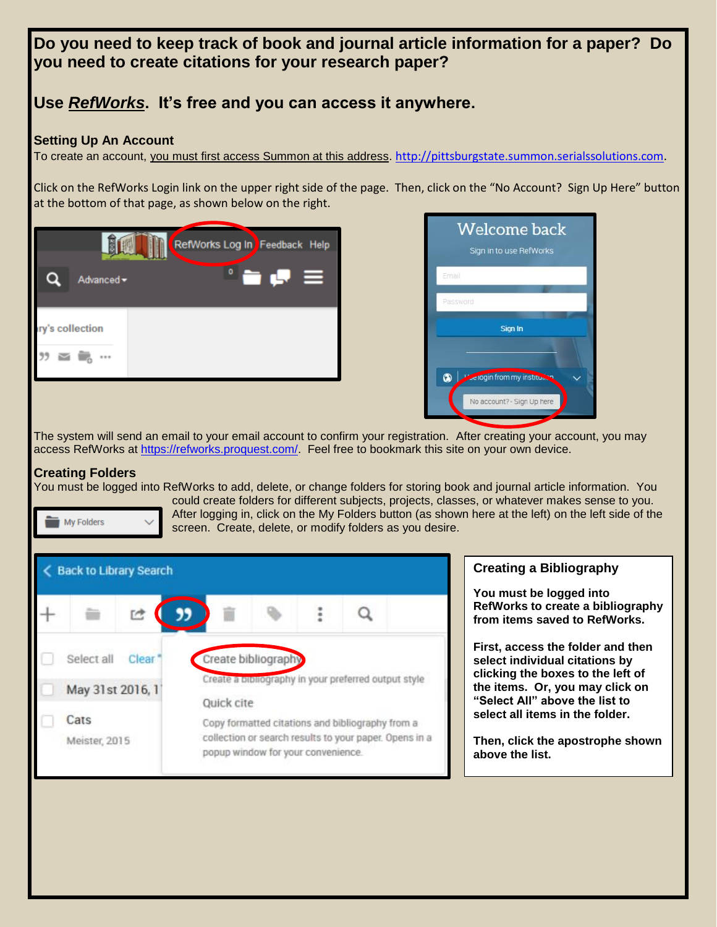**Do you need to keep track of book and journal article information for a paper? Do you need to create citations for your research paper?**

# **Use** *RefWorks***. It's free and you can access it anywhere.**

#### **Setting Up An Account**

To create an account, you must first access Summon at this address. [http://pittsburgstate.summon.serialssolutions.com.](http://pittsburgstate.summon.serialssolutions.com/)

Click on the RefWorks Login link on the upper right side of the page. Then, click on the "No Account? Sign Up Here" button at the bottom of that page, as shown below on the right.





The system will send an email to your email account to confirm your registration. After creating your account, you may access RefWorks at [https://refworks.proquest.com/.](https://refworks.proquest.com/) Feel free to bookmark this site on your own device.

## **Creating Folders**

You must be logged into RefWorks to add, delete, or change folders for storing book and journal article information. You could create folders for different subjects, projects, classes, or whatever makes sense to you. After logging in, click on the My Folders button (as shown here at the left) on the left side of the My Folders screen. Create, delete, or modify folders as you desire.



## **Creating a Bibliography**

**You must be logged into RefWorks to create a bibliography from items saved to RefWorks.** 

**First, access the folder and then select individual citations by clicking the boxes to the left of the items. Or, you may click on "Select All" above the list to select all items in the folder.** 

**Then, click the apostrophe shown above the list.**